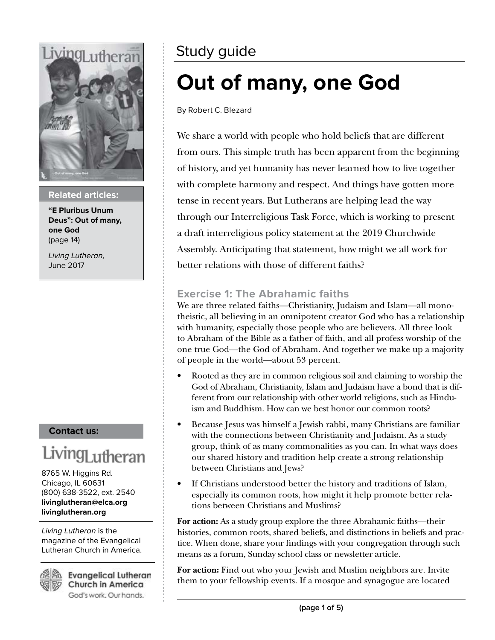

#### **Related articles:**

**"E Pluribus Unum Deus": Out of many, one God**  (page 14)

Living Lutheran, June 2017

#### **Contact us:**

## Living<sub>Lutheran</sub>

8765 W. Higgins Rd. Chicago, IL 60631 (800) 638-3522, ext. 2540 **livinglutheran@elca.org livinglutheran.org**

Living Lutheran is the magazine of the Evangelical Lutheran Church in America.



**Evangelical Lutheran** Church in America God's work. Our hands.

## Study guide

## **Out of many, one God**

By Robert C. Blezard

We share a world with people who hold beliefs that are different from ours. This simple truth has been apparent from the beginning of history, and yet humanity has never learned how to live together with complete harmony and respect. And things have gotten more tense in recent years. But Lutherans are helping lead the way through our Interreligious Task Force, which is working to present a draft interreligious policy statement at the 2019 Churchwide Assembly. Anticipating that statement, how might we all work for better relations with those of different faiths?

#### **Exercise 1: The Abrahamic faiths**

We are three related faiths—Christianity, Judaism and Islam—all monotheistic, all believing in an omnipotent creator God who has a relationship with humanity, especially those people who are believers. All three look to Abraham of the Bible as a father of faith, and all profess worship of the one true God—the God of Abraham. And together we make up a majority of people in the world—about 53 percent.

- Rooted as they are in common religious soil and claiming to worship the God of Abraham, Christianity, Islam and Judaism have a bond that is different from our relationship with other world religions, such as Hinduism and Buddhism. How can we best honor our common roots?
- Because Jesus was himself a Jewish rabbi, many Christians are familiar with the connections between Christianity and Judaism. As a study group, think of as many commonalities as you can. In what ways does our shared history and tradition help create a strong relationship between Christians and Jews?
- If Christians understood better the history and traditions of Islam, especially its common roots, how might it help promote better relations between Christians and Muslims?

**For action:** As a study group explore the three Abrahamic faiths—their histories, common roots, shared beliefs, and distinctions in beliefs and practice. When done, share your findings with your congregation through such means as a forum, Sunday school class or newsletter article.

For action: Find out who your Jewish and Muslim neighbors are. Invite them to your fellowship events. If a mosque and synagogue are located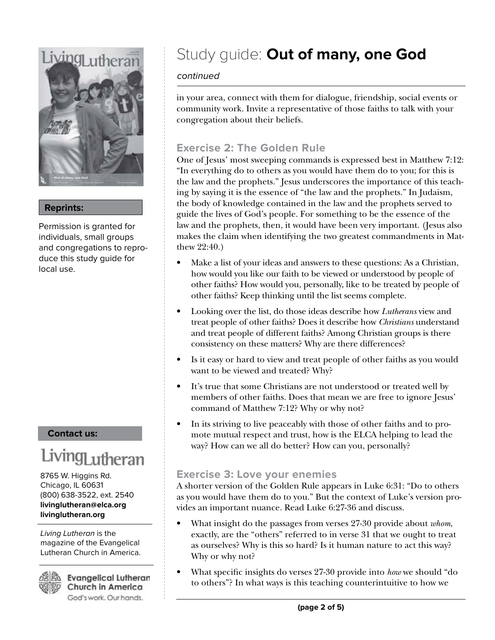# *iving* uthera

**Reprints:**

Permission is granted for individuals, small groups and congregations to reproduce this study guide for local use.

#### **Contact us:**

## Living<sub>Lutheran</sub>

8765 W. Higgins Rd. Chicago, IL 60631 (800) 638-3522, ext. 2540 **livinglutheran@elca.org livinglutheran.org**

Living Lutheran is the magazine of the Evangelical Lutheran Church in America.



**Evangelical Lutheran Church in America** God's work. Our hands.

## Study guide: **Out of many, one God**

#### continued

in your area, connect with them for dialogue, friendship, social events or community work. Invite a representative of those faiths to talk with your congregation about their beliefs.

#### **Exercise 2: The Golden Rule**

One of Jesus' most sweeping commands is expressed best in Matthew 7:12: "In everything do to others as you would have them do to you; for this is the law and the prophets." Jesus underscores the importance of this teaching by saying it is the essence of "the law and the prophets." In Judaism, the body of knowledge contained in the law and the prophets served to guide the lives of God's people. For something to be the essence of the law and the prophets, then, it would have been very important. (Jesus also makes the claim when identifying the two greatest commandments in Matthew 22:40.)

- Make a list of your ideas and answers to these questions: As a Christian, how would you like our faith to be viewed or understood by people of other faiths? How would you, personally, like to be treated by people of other faiths? Keep thinking until the list seems complete.
- Looking over the list, do those ideas describe how *Lutherans* view and treat people of other faiths? Does it describe how *Christians* understand and treat people of different faiths? Among Christian groups is there consistency on these matters? Why are there differences?
- Is it easy or hard to view and treat people of other faiths as you would want to be viewed and treated? Why?
- It's true that some Christians are not understood or treated well by members of other faiths. Does that mean we are free to ignore Jesus' command of Matthew 7:12? Why or why not?
- In its striving to live peaceably with those of other faiths and to promote mutual respect and trust, how is the ELCA helping to lead the way? How can we all do better? How can you, personally?

#### **Exercise 3: Love your enemies**

A shorter version of the Golden Rule appears in Luke 6:31: "Do to others as you would have them do to you." But the context of Luke's version provides an important nuance. Read Luke 6:27-36 and discuss.

- What insight do the passages from verses 27-30 provide about *whom*, exactly, are the "others" referred to in verse 31 that we ought to treat as ourselves? Why is this so hard? Is it human nature to act this way? Why or why not?
- What specific insights do verses 27-30 provide into *how* we should "do to others"? In what ways is this teaching counterintuitive to how we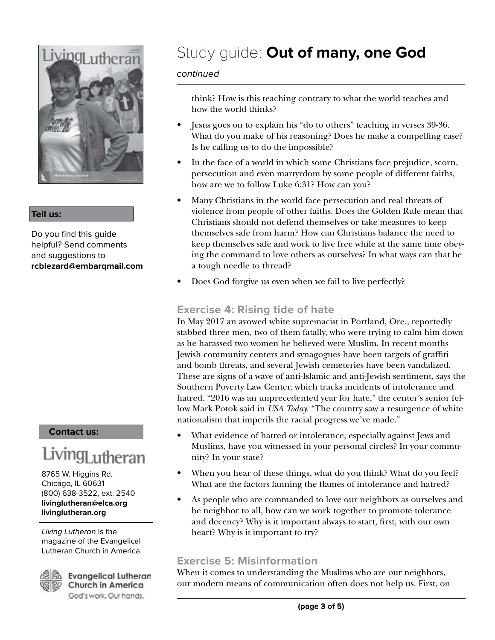

#### **Tell us:**

Do you find this guide helpful? Send comments and suggestions to **rcblezard@embarqmail.com**

#### **Contact us:**

## Living<sub>Lutheran</sub>

8765 W. Higgins Rd. Chicago, IL 60631 (800) 638-3522, ext. 2540 **livinglutheran@elca.org livinglutheran.org**

Living Lutheran is the magazine of the Evangelical Lutheran Church in America.

62 Bb

**Evangelical Lutheran** Church in America God's work. Our hands.

## Study guide: **Out of many, one God**

#### continued

think? How is this teaching contrary to what the world teaches and how the world thinks?

- Jesus goes on to explain his "do to others" teaching in verses 39-36. What do you make of his reasoning? Does he make a compelling case? Is he calling us to do the impossible?
- In the face of a world in which some Christians face prejudice, scorn, persecution and even martyrdom by some people of different faiths, how are we to follow Luke 6:31? How can you?
- Many Christians in the world face persecution and real threats of violence from people of other faiths. Does the Golden Rule mean that Christians should not defend themselves or take measures to keep themselves safe from harm? How can Christians balance the need to keep themselves safe and work to live free while at the same time obeying the command to love others as ourselves? In what ways can that be a tough needle to thread?
- Does God forgive us even when we fail to live perfectly?

#### **Exercise 4: Rising tide of hate**

In May 2017 an avowed white supremacist in Portland, Ore., reportedly stabbed three men, two of them fatally, who were trying to calm him down as he harassed two women he believed were Muslim. In recent months Jewish community centers and synagogues have been targets of graffiti and bomb threats, and several Jewish cemeteries have been vandalized. These are signs of a wave of anti-Islamic and anti-Jewish sentiment, says the Southern Poverty Law Center, which tracks incidents of intolerance and hatred. "2016 was an unprecedented year for hate," the center's senior fellow Mark Potok said in *USA Today*. "The country saw a resurgence of white nationalism that imperils the racial progress we've made."

- What evidence of hatred or intolerance, especially against Jews and Muslims, have you witnessed in your personal circles? In your community? In your state?
- When you hear of these things, what do you think? What do you feel? What are the factors fanning the flames of intolerance and hatred?
- As people who are commanded to love our neighbors as ourselves and be neighbor to all, how can we work together to promote tolerance and decency? Why is it important always to start, first, with our own heart? Why is it important to try?

#### **Exercise 5: Misinformation**

When it comes to understanding the Muslims who are our neighbors, our modern means of communication often does not help us. First, on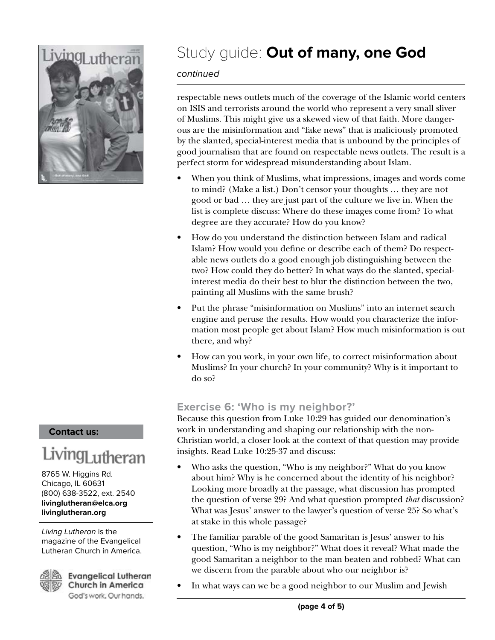

#### **Contact us:**

## .iving<sub>Lutherar</sub>

8765 W. Higgins Rd. Chicago, IL 60631 (800) 638-3522, ext. 2540 **livinglutheran@elca.org livinglutheran.org**

Living Lutheran is the magazine of the Evangelical Lutheran Church in America.



**Evangelical Lutheran** Church in America God's work. Our hands.

## Study guide: **Out of many, one God**

#### continued

respectable news outlets much of the coverage of the Islamic world centers on ISIS and terrorists around the world who represent a very small sliver of Muslims. This might give us a skewed view of that faith. More dangerous are the misinformation and "fake news" that is maliciously promoted by the slanted, special-interest media that is unbound by the principles of good journalism that are found on respectable news outlets. The result is a perfect storm for widespread misunderstanding about Islam.

- When you think of Muslims, what impressions, images and words come to mind? (Make a list.) Don't censor your thoughts … they are not good or bad … they are just part of the culture we live in. When the list is complete discuss: Where do these images come from? To what degree are they accurate? How do you know?
- How do you understand the distinction between Islam and radical Islam? How would you define or describe each of them? Do respectable news outlets do a good enough job distinguishing between the two? How could they do better? In what ways do the slanted, specialinterest media do their best to blur the distinction between the two, painting all Muslims with the same brush?
- Put the phrase "misinformation on Muslims" into an internet search engine and peruse the results. How would you characterize the information most people get about Islam? How much misinformation is out there, and why?
- How can you work, in your own life, to correct misinformation about Muslims? In your church? In your community? Why is it important to do so?

#### **Exercise 6: 'Who is my neighbor?'**

Because this question from Luke 10:29 has guided our denomination's work in understanding and shaping our relationship with the non-Christian world, a closer look at the context of that question may provide insights. Read Luke 10:25-37 and discuss:

- Who asks the question, "Who is my neighbor?" What do you know about him? Why is he concerned about the identity of his neighbor? Looking more broadly at the passage, what discussion has prompted the question of verse 29? And what question prompted *that* discussion? What was Jesus' answer to the lawyer's question of verse 25? So what's at stake in this whole passage?
- The familiar parable of the good Samaritan is Jesus' answer to his question, "Who is my neighbor?" What does it reveal? What made the good Samaritan a neighbor to the man beaten and robbed? What can we discern from the parable about who our neighbor is?
- In what ways can we be a good neighbor to our Muslim and Jewish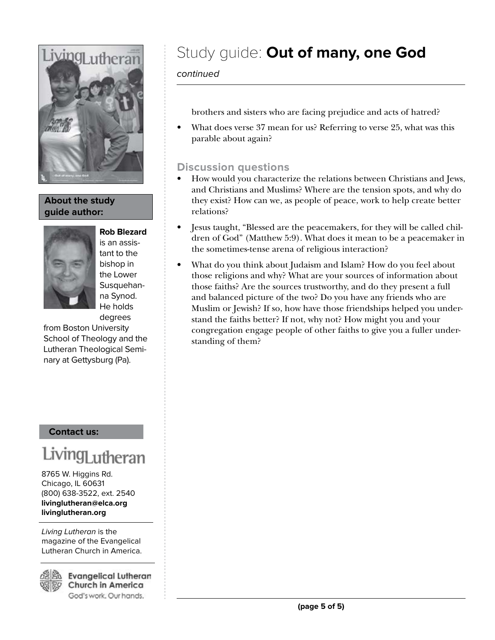

#### **About the study guide author:**



is an assistant to the bishop in the Lower Susquehanna Synod. He holds degrees

from Boston University School of Theology and the Lutheran Theological Seminary at Gettysburg (Pa).

#### **Contact us:**

## 1ngj <sub>11</sub>theran

8765 W. Higgins Rd. Chicago, IL 60631 (800) 638-3522, ext. 2540 **livinglutheran@elca.org livinglutheran.org**

Living Lutheran is the magazine of the Evangelical Lutheran Church in America.



**Evangelical Lutheran** Church in America God's work. Our hands.

## Study guide: **Out of many, one God**

continued

brothers and sisters who are facing prejudice and acts of hatred?

• What does verse 37 mean for us? Referring to verse 25, what was this parable about again?

#### **Discussion questions**

- How would you characterize the relations between Christians and Jews, and Christians and Muslims? Where are the tension spots, and why do they exist? How can we, as people of peace, work to help create better relations?
- Jesus taught, "Blessed are the peacemakers, for they will be called children of God" (Matthew 5:9). What does it mean to be a peacemaker in the sometimes-tense arena of religious interaction?
- What do you think about Judaism and Islam? How do you feel about those religions and why? What are your sources of information about those faiths? Are the sources trustworthy, and do they present a full and balanced picture of the two? Do you have any friends who are Muslim or Jewish? If so, how have those friendships helped you understand the faiths better? If not, why not? How might you and your congregation engage people of other faiths to give you a fuller understanding of them?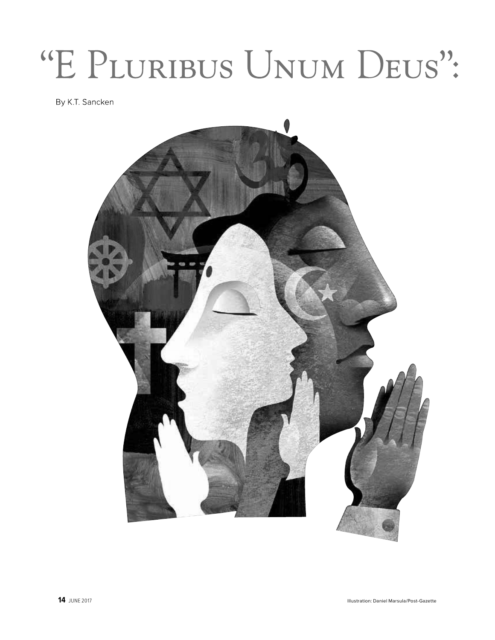# "E PLURIBUS UNUM DEUS":

By K.T. Sancken

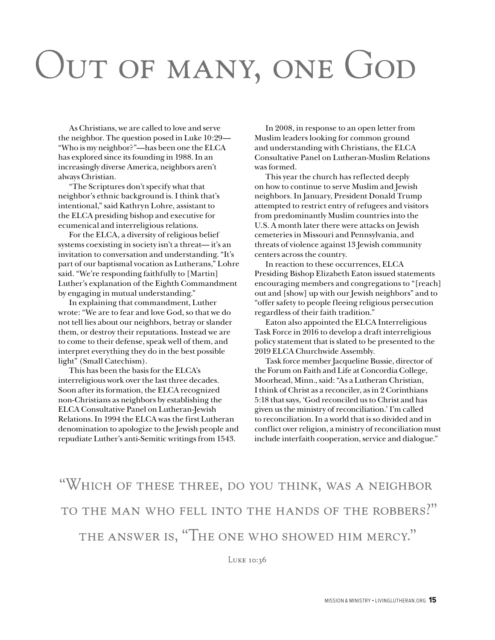## OUT OF MANY, ONE GOD

As Christians, we are called to love and serve the neighbor. The question posed in Luke 10:29— "Who is my neighbor?"—has been one the ELCA has explored since its founding in 1988. In an increasingly diverse America, neighbors aren't always Christian.

"The Scriptures don't specify what that neighbor's ethnic background is. I think that's intentional," said Kathryn Lohre, assistant to the ELCA presiding bishop and executive for ecumenical and interreligious relations.

For the ELCA, a diversity of religious belief systems coexisting in society isn't a threat— it's an invitation to conversation and understanding. "It's part of our baptismal vocation as Lutherans," Lohre said. "We're responding faithfully to [Martin] Luther's explanation of the Eighth Commandment by engaging in mutual understanding."

In explaining that commandment, Luther wrote: "We are to fear and love God, so that we do not tell lies about our neighbors, betray or slander them, or destroy their reputations. Instead we are to come to their defense, speak well of them, and interpret everything they do in the best possible light" (Small Catechism).

This has been the basis for the ELCA's interreligious work over the last three decades. Soon after its formation, the ELCA recognized non-Christians as neighbors by establishing the ELCA Consultative Panel on Lutheran-Jewish Relations. In 1994 the ELCA was the first Lutheran denomination to apologize to the Jewish people and repudiate Luther's anti-Semitic writings from 1543.

In 2008, in response to an open letter from Muslim leaders looking for common ground and understanding with Christians, the ELCA Consultative Panel on Lutheran-Muslim Relations was formed.

This year the church has reflected deeply on how to continue to serve Muslim and Jewish neighbors. In January, President Donald Trump attempted to restrict entry of refugees and visitors from predominantly Muslim countries into the U.S. A month later there were attacks on Jewish cemeteries in Missouri and Pennsylvania, and threats of violence against 13 Jewish community centers across the country.

In reaction to these occurrences, ELCA Presiding Bishop Elizabeth Eaton issued statements encouraging members and congregations to "[reach] out and [show] up with our Jewish neighbors" and to "offer safety to people fleeing religious persecution regardless of their faith tradition."

Eaton also appointed the ELCA Interreligious Task Force in 2016 to develop a draft interreligious policy statement that is slated to be presented to the 2019 ELCA Churchwide Assembly.

Task force member Jacqueline Bussie, director of the Forum on Faith and Life at Concordia College, Moorhead, Minn., said: "As a Lutheran Christian, I think of Christ as a reconciler, as in 2 Corinthians 5:18 that says, 'God reconciled us to Christ and has given us the ministry of reconciliation.' I'm called to reconciliation. In a world that is so divided and in conflict over religion, a ministry of reconciliation must include interfaith cooperation, service and dialogue."

"WHICH OF THESE THREE, DO YOU THINK, WAS A NEIGHBOR TO THE MAN WHO FELL INTO THE HANDS OF THE ROBBERS?" THE ANSWER IS, "THE ONE WHO SHOWED HIM MERCY."

LUKE 10:36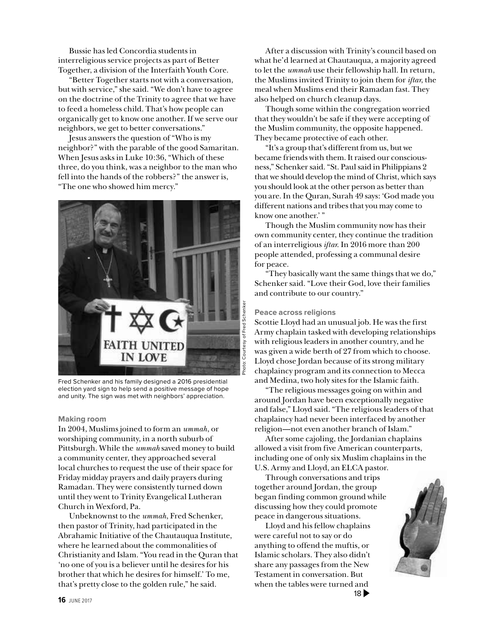Bussie has led Concordia students in interreligious service projects as part of Better Together, a division of the Interfaith Youth Core.

"Better Together starts not with a conversation, but with service," she said. "We don't have to agree on the doctrine of the Trinity to agree that we have to feed a homeless child. That's how people can organically get to know one another. If we serve our neighbors, we get to better conversations."

Jesus answers the question of "Who is my neighbor?" with the parable of the good Samaritan. When Jesus asks in Luke 10:36, "Which of these three, do you think, was a neighbor to the man who fell into the hands of the robbers?" the answer is, "The one who showed him mercy."



Fred Schenker and his family designed a 2016 presidential election yard sign to help send a positive message of hope and unity. The sign was met with neighbors' appreciation.

#### **Making room**

In 2004, Muslims joined to form an *ummah*, or worshiping community, in a north suburb of Pittsburgh. While the *ummah* saved money to build a community center, they approached several local churches to request the use of their space for Friday midday prayers and daily prayers during Ramadan. They were consistently turned down until they went to Trinity Evangelical Lutheran Church in Wexford, Pa.

Unbeknownst to the *ummah*, Fred Schenker, then pastor of Trinity, had participated in the Abrahamic Initiative of the Chautauqua Institute, where he learned about the commonalities of Christianity and Islam. "You read in the Quran that 'no one of you is a believer until he desires for his brother that which he desires for himself.' To me, that's pretty close to the golden rule," he said.

After a discussion with Trinity's council based on what he'd learned at Chautauqua, a majority agreed to let the *ummah* use their fellowship hall. In return, the Muslims invited Trinity to join them for *iftar*, the meal when Muslims end their Ramadan fast. They also helped on church cleanup days.

Though some within the congregation worried that they wouldn't be safe if they were accepting of the Muslim community, the opposite happened. They became protective of each other.

"It's a group that's different from us, but we became friends with them. It raised our consciousness," Schenker said. "St. Paul said in Philippians 2 that we should develop the mind of Christ, which says you should look at the other person as better than you are. In the Quran, Surah 49 says: 'God made you different nations and tribes that you may come to know one another.' "

Though the Muslim community now has their own community center, they continue the tradition of an interreligious *iftar*. In 2016 more than 200 people attended, professing a communal desire for peace.

"They basically want the same things that we do," Schenker said. "Love their God, love their families and contribute to our country."

#### **Peace across religions**

Scottie Lloyd had an unusual job. He was the first Army chaplain tasked with developing relationships with religious leaders in another country, and he was given a wide berth of 27 from which to choose. Lloyd chose Jordan because of its strong military chaplaincy program and its connection to Mecca and Medina, two holy sites for the Islamic faith.

"The religious messages going on within and around Jordan have been exceptionally negative and false," Lloyd said. "The religious leaders of that chaplaincy had never been interfaced by another religion—not even another branch of Islam."

After some cajoling, the Jordanian chaplains allowed a visit from five American counterparts, including one of only six Muslim chaplains in the U.S. Army and Lloyd, an ELCA pastor.

Through conversations and trips together around Jordan, the group began finding common ground while discussing how they could promote peace in dangerous situations.

Lloyd and his fellow chaplains were careful not to say or do anything to offend the muftis, or Islamic scholars. They also didn't share any passages from the New Testament in conversation. But when the tables were turned and  $18 \blacktriangleright$ 

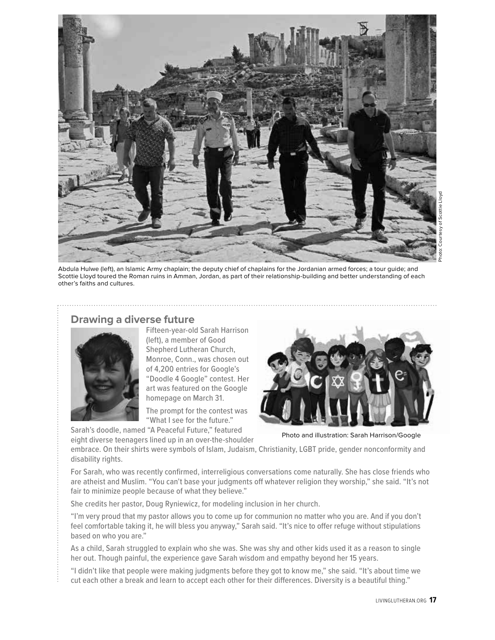

Abdula Hulwe (left), an Islamic Army chaplain; the deputy chief of chaplains for the Jordanian armed forces; a tour guide; and Scottie Lloyd toured the Roman ruins in Amman, Jordan, as part of their relationship-building and better understanding of each other's faiths and cultures.

#### **Drawing a diverse future**



Fifteen-year-old Sarah Harrison (left), a member of Good Shepherd Lutheran Church, Monroe, Conn., was chosen out of 4,200 entries for Google's "Doodle 4 Google" contest. Her art was featured on the Google homepage on March 31.

The prompt for the contest was "What I see for the future."

Sarah's doodle, named "A Peaceful Future," featured eight diverse teenagers lined up in an over-the-shoulder



Photo and illustration: Sarah Harrison/Google

embrace. On their shirts were symbols of Islam, Judaism, Christianity, LGBT pride, gender nonconformity and disability rights.

For Sarah, who was recently confirmed, interreligious conversations come naturally. She has close friends who are atheist and Muslim. "You can't base your judgments off whatever religion they worship," she said. "It's not fair to minimize people because of what they believe."

She credits her pastor, Doug Ryniewicz, for modeling inclusion in her church.

"I'm very proud that my pastor allows you to come up for communion no matter who you are. And if you don't feel comfortable taking it, he will bless you anyway," Sarah said. "It's nice to offer refuge without stipulations based on who you are."

As a child, Sarah struggled to explain who she was. She was shy and other kids used it as a reason to single her out. Though painful, the experience gave Sarah wisdom and empathy beyond her 15 years.

"I didn't like that people were making judgments before they got to know me," she said. "It's about time we cut each other a break and learn to accept each other for their differences. Diversity is a beautiful thing."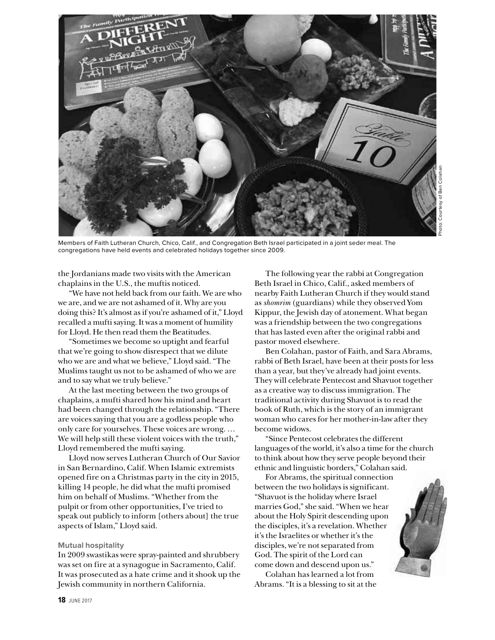

Members of Faith Lutheran Church, Chico, Calif., and Congregation Beth Israel participated in a joint seder meal. The congregations have held events and celebrated holidays together since 2009.

the Jordanians made two visits with the American chaplains in the U.S., the muftis noticed.

"We have not held back from our faith. We are who we are, and we are not ashamed of it. Why are you doing this? It's almost as if you're ashamed of it," Lloyd recalled a mufti saying. It was a moment of humility for Lloyd. He then read them the Beatitudes.

"Sometimes we become so uptight and fearful that we're going to show disrespect that we dilute who we are and what we believe," Lloyd said. "The Muslims taught us not to be ashamed of who we are and to say what we truly believe."

At the last meeting between the two groups of chaplains, a mufti shared how his mind and heart had been changed through the relationship. "There are voices saying that you are a godless people who only care for yourselves. These voices are wrong. … We will help still these violent voices with the truth," Lloyd remembered the mufti saying.

Lloyd now serves Lutheran Church of Our Savior in San Bernardino, Calif. When Islamic extremists opened fire on a Christmas party in the city in 2015, killing 14 people, he did what the mufti promised him on behalf of Muslims. "Whether from the pulpit or from other opportunities, I've tried to speak out publicly to inform [others about] the true aspects of Islam," Lloyd said.

#### **Mutual hospitality**

In 2009 swastikas were spray-painted and shrubbery was set on fire at a synagogue in Sacramento, Calif. It was prosecuted as a hate crime and it shook up the Jewish community in northern California.

The following year the rabbi at Congregation Beth Israel in Chico, Calif., asked members of nearby Faith Lutheran Church if they would stand as *shomrim* (guardians) while they observed Yom Kippur, the Jewish day of atonement. What began was a friendship between the two congregations that has lasted even after the original rabbi and pastor moved elsewhere.

Ben Colahan, pastor of Faith, and Sara Abrams, rabbi of Beth Israel, have been at their posts for less than a year, but they've already had joint events. They will celebrate Pentecost and Shavuot together as a creative way to discuss immigration. The traditional activity during Shavuot is to read the book of Ruth, which is the story of an immigrant woman who cares for her mother-in-law after they become widows.

"Since Pentecost celebrates the different languages of the world, it's also a time for the church to think about how they serve people beyond their ethnic and linguistic borders," Colahan said.

For Abrams, the spiritual connection between the two holidays is significant. "Shavuot is the holiday where Israel marries God," she said. "When we hear about the Holy Spirit descending upon the disciples, it's a revelation. Whether it's the Israelites or whether it's the disciples, we're not separated from God. The spirit of the Lord can come down and descend upon us."

Colahan has learned a lot from Abrams. "It is a blessing to sit at the